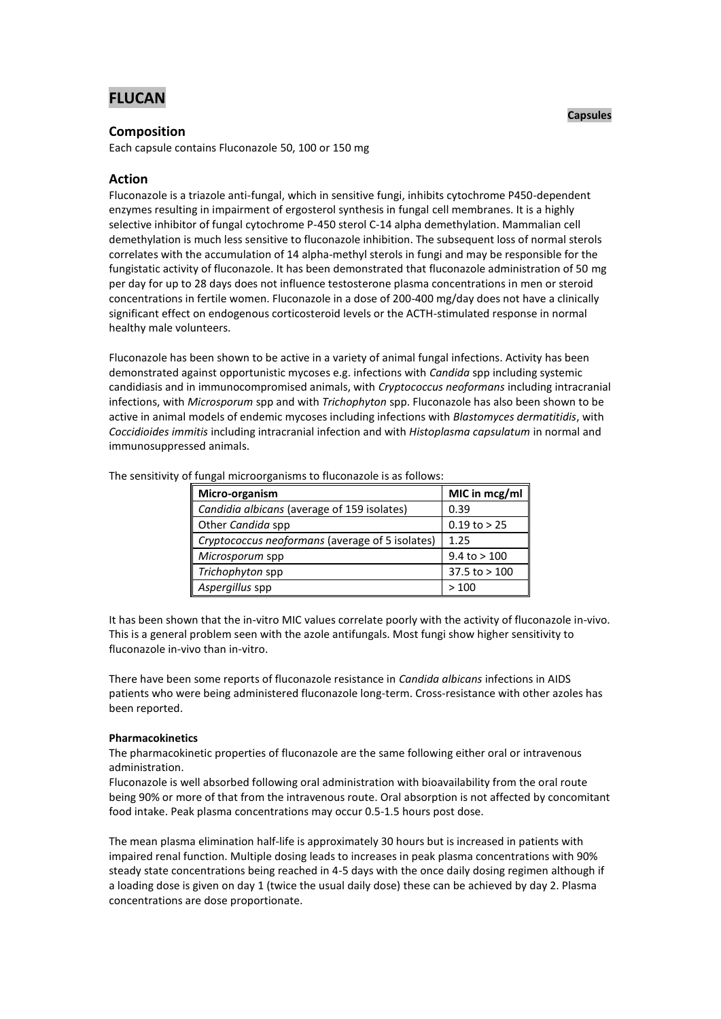# **FLUCAN**

## **Composition**

Each capsule contains Fluconazole 50, 100 or 150 mg

## **Action**

Fluconazole is a triazole anti-fungal, which in sensitive fungi, inhibits cytochrome P450-dependent enzymes resulting in impairment of ergosterol synthesis in fungal cell membranes. It is a highly selective inhibitor of fungal cytochrome P-450 sterol C-14 alpha demethylation. Mammalian cell demethylation is much less sensitive to fluconazole inhibition. The subsequent loss of normal sterols correlates with the accumulation of 14 alpha-methyl sterols in fungi and may be responsible for the fungistatic activity of fluconazole. It has been demonstrated that fluconazole administration of 50 mg per day for up to 28 days does not influence testosterone plasma concentrations in men or steroid concentrations in fertile women. Fluconazole in a dose of 200-400 mg/day does not have a clinically significant effect on endogenous corticosteroid levels or the ACTH-stimulated response in normal healthy male volunteers.

Fluconazole has been shown to be active in a variety of animal fungal infections. Activity has been demonstrated against opportunistic mycoses e.g. infections with *Candida* spp including systemic candidiasis and in immunocompromised animals, with *Cryptococcus neoformans* including intracranial infections, with *Microsporum* spp and with *Trichophyton* spp. Fluconazole has also been shown to be active in animal models of endemic mycoses including infections with *Blastomyces dermatitidis*, with *Coccidioides immitis* including intracranial infection and with *Histoplasma capsulatum* in normal and immunosuppressed animals.

| Micro-organism                                  | MIC in mcg/ml     |
|-------------------------------------------------|-------------------|
| Candidia albicans (average of 159 isolates)     | 0.39              |
| Other Candida spp                               | $0.19$ to $> 25$  |
| Cryptococcus neoformans (average of 5 isolates) | 1.25              |
| Microsporum spp                                 | $9.4$ to $> 100$  |
| Trichophyton spp                                | $37.5$ to $> 100$ |
| Aspergillus spp                                 | >100              |

The sensitivity of fungal microorganisms to fluconazole is as follows:

It has been shown that the in-vitro MIC values correlate poorly with the activity of fluconazole in-vivo. This is a general problem seen with the azole antifungals. Most fungi show higher sensitivity to fluconazole in-vivo than in-vitro.

There have been some reports of fluconazole resistance in *Candida albicans* infections in AIDS patients who were being administered fluconazole long-term. Cross-resistance with other azoles has been reported.

## **Pharmacokinetics**

The pharmacokinetic properties of fluconazole are the same following either oral or intravenous administration.

Fluconazole is well absorbed following oral administration with bioavailability from the oral route being 90% or more of that from the intravenous route. Oral absorption is not affected by concomitant food intake. Peak plasma concentrations may occur 0.5-1.5 hours post dose.

The mean plasma elimination half-life is approximately 30 hours but is increased in patients with impaired renal function. Multiple dosing leads to increases in peak plasma concentrations with 90% steady state concentrations being reached in 4-5 days with the once daily dosing regimen although if a loading dose is given on day 1 (twice the usual daily dose) these can be achieved by day 2. Plasma concentrations are dose proportionate.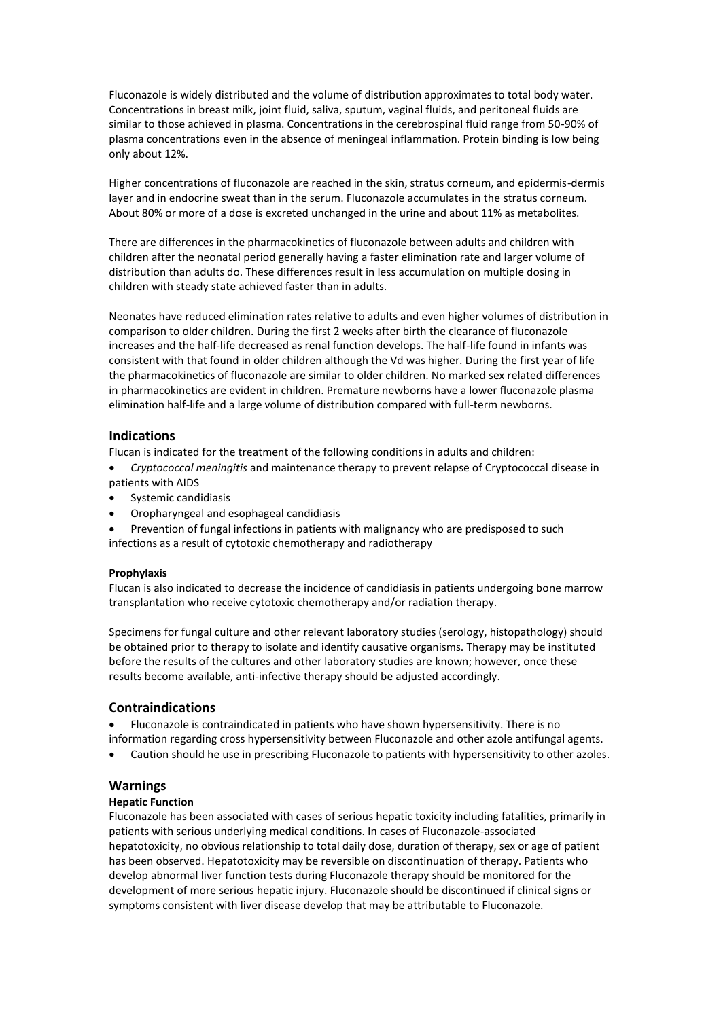Fluconazole is widely distributed and the volume of distribution approximates to total body water. Concentrations in breast milk, joint fluid, saliva, sputum, vaginal fluids, and peritoneal fluids are similar to those achieved in plasma. Concentrations in the cerebrospinal fluid range from 50-90% of plasma concentrations even in the absence of meningeal inflammation. Protein binding is low being only about 12%.

Higher concentrations of fluconazole are reached in the skin, stratus corneum, and epidermis-dermis layer and in endocrine sweat than in the serum. Fluconazole accumulates in the stratus corneum. About 80% or more of a dose is excreted unchanged in the urine and about 11% as metabolites.

There are differences in the pharmacokinetics of fluconazole between adults and children with children after the neonatal period generally having a faster elimination rate and larger volume of distribution than adults do. These differences result in less accumulation on multiple dosing in children with steady state achieved faster than in adults.

Neonates have reduced elimination rates relative to adults and even higher volumes of distribution in comparison to older children. During the first 2 weeks after birth the clearance of fluconazole increases and the half-life decreased as renal function develops. The half-life found in infants was consistent with that found in older children although the Vd was higher. During the first year of life the pharmacokinetics of fluconazole are similar to older children. No marked sex related differences in pharmacokinetics are evident in children. Premature newborns have a lower fluconazole plasma elimination half-life and a large volume of distribution compared with full-term newborns.

## **Indications**

Flucan is indicated for the treatment of the following conditions in adults and children:

- *Cryptococcal meningitis* and maintenance therapy to prevent relapse of Cryptococcal disease in patients with AIDS
- Systemic candidiasis
- Oropharyngeal and esophageal candidiasis
- Prevention of fungal infections in patients with malignancy who are predisposed to such infections as a result of cytotoxic chemotherapy and radiotherapy

## **Prophylaxis**

Flucan is also indicated to decrease the incidence of candidiasis in patients undergoing bone marrow transplantation who receive cytotoxic chemotherapy and/or radiation therapy.

Specimens for fungal culture and other relevant laboratory studies (serology, histopathology) should be obtained prior to therapy to isolate and identify causative organisms. Therapy may be instituted before the results of the cultures and other laboratory studies are known; however, once these results become available, anti-infective therapy should be adjusted accordingly.

## **Contraindications**

- Fluconazole is contraindicated in patients who have shown hypersensitivity. There is no information regarding cross hypersensitivity between Fluconazole and other azole antifungal agents.
- Caution should he use in prescribing Fluconazole to patients with hypersensitivity to other azoles.

## **Warnings**

## **Hepatic Function**

Fluconazole has been associated with cases of serious hepatic toxicity including fatalities, primarily in patients with serious underlying medical conditions. In cases of Fluconazole-associated hepatotoxicity, no obvious relationship to total daily dose, duration of therapy, sex or age of patient has been observed. Hepatotoxicity may be reversible on discontinuation of therapy. Patients who develop abnormal liver function tests during Fluconazole therapy should be monitored for the development of more serious hepatic injury. Fluconazole should be discontinued if clinical signs or symptoms consistent with liver disease develop that may be attributable to Fluconazole.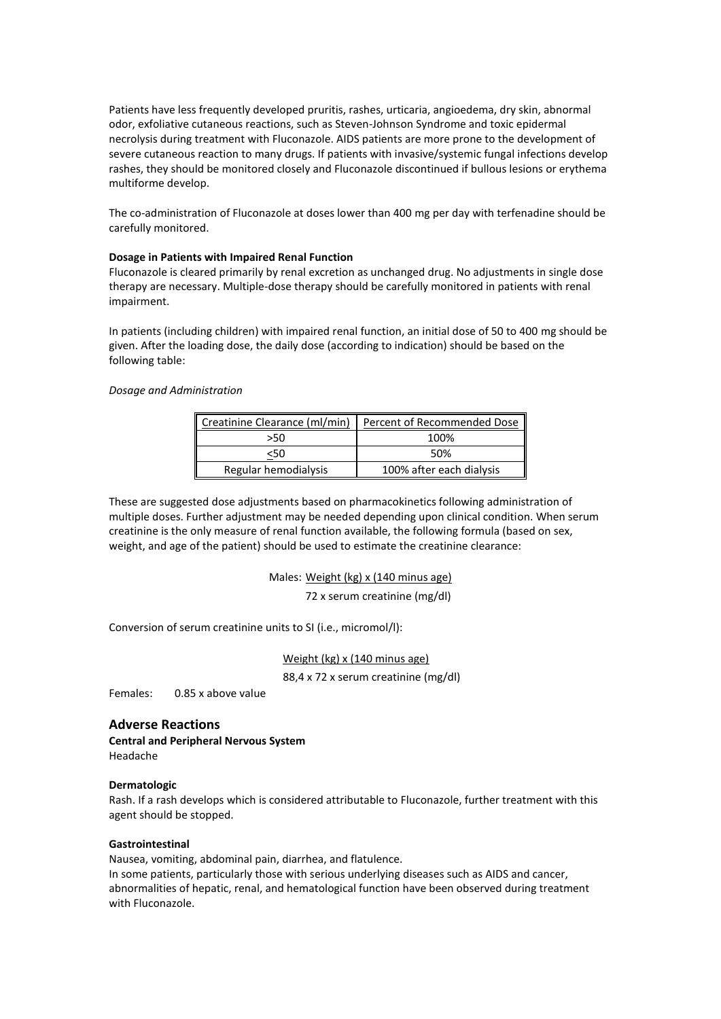Patients have less frequently developed pruritis, rashes, urticaria, angioedema, dry skin, abnormal odor, exfoliative cutaneous reactions, such as Steven-Johnson Syndrome and toxic epidermal necrolysis during treatment with Fluconazole. AIDS patients are more prone to the development of severe cutaneous reaction to many drugs. If patients with invasive/systemic fungal infections develop rashes, they should be monitored closely and Fluconazole discontinued if bullous lesions or erythema multiforme develop.

The co-administration of Fluconazole at doses lower than 400 mg per day with terfenadine should be carefully monitored.

## **Dosage in Patients with Impaired Renal Function**

Fluconazole is cleared primarily by renal excretion as unchanged drug. No adjustments in single dose therapy are necessary. Multiple-dose therapy should be carefully monitored in patients with renal impairment.

In patients (including children) with impaired renal function, an initial dose of 50 to 400 mg should be given. After the loading dose, the daily dose (according to indication) should be based on the following table:

## *Dosage and Administration*

| Creatinine Clearance (ml/min) | Percent of Recommended Dose |  |
|-------------------------------|-----------------------------|--|
| >50                           | 100%                        |  |
| <50                           | 50%                         |  |
| Regular hemodialysis          | 100% after each dialysis    |  |

These are suggested dose adjustments based on pharmacokinetics following administration of multiple doses. Further adjustment may be needed depending upon clinical condition. When serum creatinine is the only measure of renal function available, the following formula (based on sex, weight, and age of the patient) should be used to estimate the creatinine clearance:

Males: Weight (kg) x (140 minus age)

72 x serum creatinine (mg/dl)

Conversion of serum creatinine units to SI (i.e., micromol/l):

Weight (kg) x (140 minus age)

88,4 x 72 x serum creatinine (mg/dl)

Females: 0.85 x above value

## **Adverse Reactions**

**Central and Peripheral Nervous System** Headache

## **Dermatologic**

Rash. If a rash develops which is considered attributable to Fluconazole, further treatment with this agent should be stopped.

## **Gastrointestinal**

Nausea, vomiting, abdominal pain, diarrhea, and flatulence.

In some patients, particularly those with serious underlying diseases such as AIDS and cancer, abnormalities of hepatic, renal, and hematological function have been observed during treatment with Fluconazole.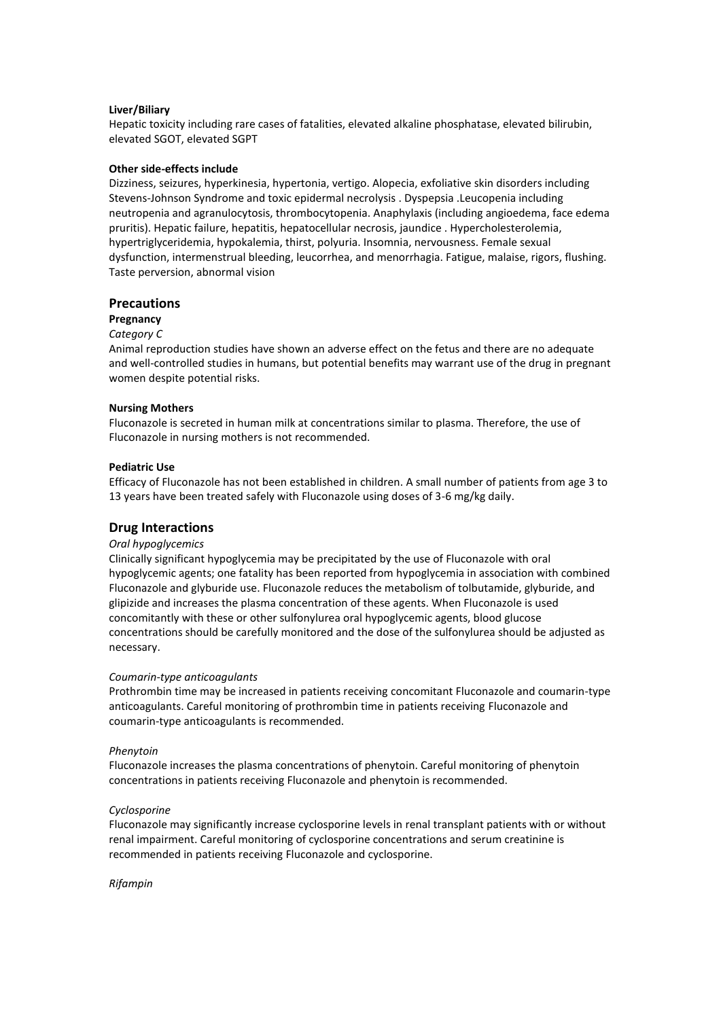## **Liver/Biliary**

Hepatic toxicity including rare cases of fatalities, elevated alkaline phosphatase, elevated bilirubin, elevated SGOT, elevated SGPT

## **Other side-effects include**

Dizziness, seizures, hyperkinesia, hypertonia, vertigo. Alopecia, exfoliative skin disorders including Stevens-Johnson Syndrome and toxic epidermal necrolysis . Dyspepsia .Leucopenia including neutropenia and agranulocytosis, thrombocytopenia. Anaphylaxis (including angioedema, face edema pruritis). Hepatic failure, hepatitis, hepatocellular necrosis, jaundice . Hypercholesterolemia, hypertriglyceridemia, hypokalemia, thirst, polyuria. Insomnia, nervousness. Female sexual dysfunction, intermenstrual bleeding, leucorrhea, and menorrhagia. Fatigue, malaise, rigors, flushing. Taste perversion, abnormal vision

## **Precautions**

#### **Pregnancy**

#### *Category C*

Animal reproduction studies have shown an adverse effect on the fetus and there are no adequate and well-controlled studies in humans, but potential benefits may warrant use of the drug in pregnant women despite potential risks.

#### **Nursing Mothers**

Fluconazole is secreted in human milk at concentrations similar to plasma. Therefore, the use of Fluconazole in nursing mothers is not recommended.

## **Pediatric Use**

Efficacy of Fluconazole has not been established in children. A small number of patients from age 3 to 13 years have been treated safely with Fluconazole using doses of 3-6 mg/kg daily.

## **Drug Interactions**

## *Oral hypoglycemics*

Clinically significant hypoglycemia may be precipitated by the use of Fluconazole with oral hypoglycemic agents; one fatality has been reported from hypoglycemia in association with combined Fluconazole and glyburide use. Fluconazole reduces the metabolism of tolbutamide, glyburide, and glipizide and increases the plasma concentration of these agents. When Fluconazole is used concomitantly with these or other sulfonylurea oral hypoglycemic agents, blood glucose concentrations should be carefully monitored and the dose of the sulfonylurea should be adjusted as necessary.

#### *Coumarin-type anticoagulants*

Prothrombin time may be increased in patients receiving concomitant Fluconazole and coumarin-type anticoagulants. Careful monitoring of prothrombin time in patients receiving Fluconazole and coumarin-type anticoagulants is recommended.

#### *Phenytoin*

Fluconazole increases the plasma concentrations of phenytoin. Careful monitoring of phenytoin concentrations in patients receiving Fluconazole and phenytoin is recommended.

#### *Cyclosporine*

Fluconazole may significantly increase cyclosporine levels in renal transplant patients with or without renal impairment. Careful monitoring of cyclosporine concentrations and serum creatinine is recommended in patients receiving Fluconazole and cyclosporine.

#### *Rifampin*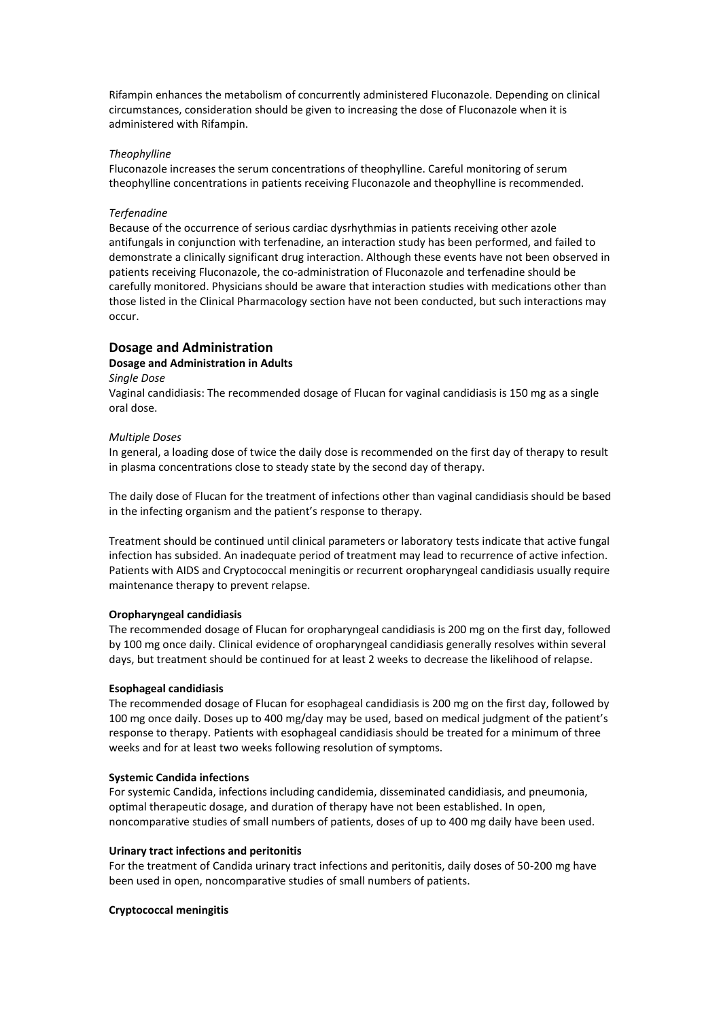Rifampin enhances the metabolism of concurrently administered Fluconazole. Depending on clinical circumstances, consideration should be given to increasing the dose of Fluconazole when it is administered with Rifampin.

## *Theophylline*

Fluconazole increases the serum concentrations of theophylline. Careful monitoring of serum theophylline concentrations in patients receiving Fluconazole and theophylline is recommended.

## *Terfenadine*

Because of the occurrence of serious cardiac dysrhythmias in patients receiving other azole antifungals in conjunction with terfenadine, an interaction study has been performed, and failed to demonstrate a clinically significant drug interaction. Although these events have not been observed in patients receiving Fluconazole, the co-administration of Fluconazole and terfenadine should be carefully monitored. Physicians should be aware that interaction studies with medications other than those listed in the Clinical Pharmacology section have not been conducted, but such interactions may occur.

## **Dosage and Administration**

## **Dosage and Administration in Adults**

## *Single Dose*

Vaginal candidiasis: The recommended dosage of Flucan for vaginal candidiasis is 150 mg as a single oral dose.

## *Multiple Doses*

In general, a loading dose of twice the daily dose is recommended on the first day of therapy to result in plasma concentrations close to steady state by the second day of therapy.

The daily dose of Flucan for the treatment of infections other than vaginal candidiasis should be based in the infecting organism and the patient's response to therapy.

Treatment should be continued until clinical parameters or laboratory tests indicate that active fungal infection has subsided. An inadequate period of treatment may lead to recurrence of active infection. Patients with AIDS and Cryptococcal meningitis or recurrent oropharyngeal candidiasis usually require maintenance therapy to prevent relapse.

## **Oropharyngeal candidiasis**

The recommended dosage of Flucan for oropharyngeal candidiasis is 200 mg on the first day, followed by 100 mg once daily. Clinical evidence of oropharyngeal candidiasis generally resolves within several days, but treatment should be continued for at least 2 weeks to decrease the likelihood of relapse.

## **Esophageal candidiasis**

The recommended dosage of Flucan for esophageal candidiasis is 200 mg on the first day, followed by 100 mg once daily. Doses up to 400 mg/day may be used, based on medical judgment of the patient's response to therapy. Patients with esophageal candidiasis should be treated for a minimum of three weeks and for at least two weeks following resolution of symptoms.

## **Systemic Candida infections**

For systemic Candida, infections including candidemia, disseminated candidiasis, and pneumonia, optimal therapeutic dosage, and duration of therapy have not been established. In open, noncomparative studies of small numbers of patients, doses of up to 400 mg daily have been used.

## **Urinary tract infections and peritonitis**

For the treatment of Candida urinary tract infections and peritonitis, daily doses of 50-200 mg have been used in open, noncomparative studies of small numbers of patients.

## **Cryptococcal meningitis**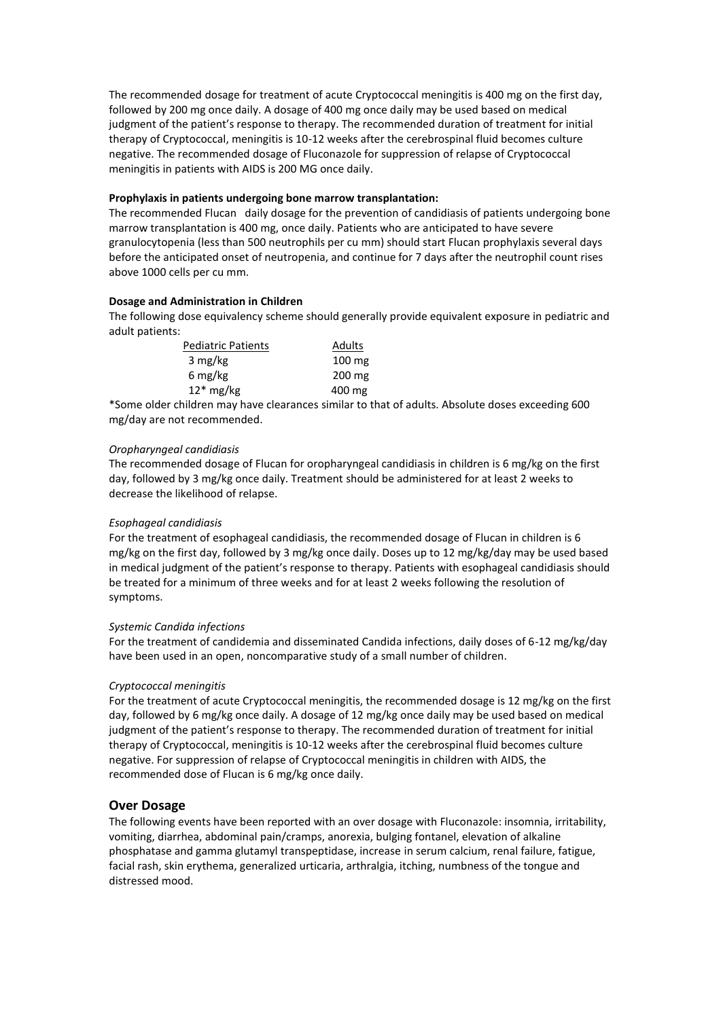The recommended dosage for treatment of acute Cryptococcal meningitis is 400 mg on the first day, followed by 200 mg once daily. A dosage of 400 mg once daily may be used based on medical judgment of the patient's response to therapy. The recommended duration of treatment for initial therapy of Cryptococcal, meningitis is 10-12 weeks after the cerebrospinal fluid becomes culture negative. The recommended dosage of Fluconazole for suppression of relapse of Cryptococcal meningitis in patients with AIDS is 200 MG once daily.

## **Prophylaxis in patients undergoing bone marrow transplantation:**

The recommended Flucan daily dosage for the prevention of candidiasis of patients undergoing bone marrow transplantation is 400 mg, once daily. Patients who are anticipated to have severe granulocytopenia (less than 500 neutrophils per cu mm) should start Flucan prophylaxis several days before the anticipated onset of neutropenia, and continue for 7 days after the neutrophil count rises above 1000 cells per cu mm.

## **Dosage and Administration in Children**

The following dose equivalency scheme should generally provide equivalent exposure in pediatric and adult patients:

| <b>Pediatric Patients</b> | Adults |
|---------------------------|--------|
| 3 mg/kg                   | 100 mg |
| 6 mg/kg                   | 200 mg |
| $12*$ mg/kg               | 400 mg |

\*Some older children may have clearances similar to that of adults. Absolute doses exceeding 600 mg/day are not recommended.

## *Oropharyngeal candidiasis*

The recommended dosage of Flucan for oropharyngeal candidiasis in children is 6 mg/kg on the first day, followed by 3 mg/kg once daily. Treatment should be administered for at least 2 weeks to decrease the likelihood of relapse.

## *Esophageal candidiasis*

For the treatment of esophageal candidiasis, the recommended dosage of Flucan in children is 6 mg/kg on the first day, followed by 3 mg/kg once daily. Doses up to 12 mg/kg/day may be used based in medical judgment of the patient's response to therapy. Patients with esophageal candidiasis should be treated for a minimum of three weeks and for at least 2 weeks following the resolution of symptoms.

## *Systemic Candida infections*

For the treatment of candidemia and disseminated Candida infections, daily doses of 6-12 mg/kg/day have been used in an open, noncomparative study of a small number of children.

## *Cryptococcal meningitis*

For the treatment of acute Cryptococcal meningitis, the recommended dosage is 12 mg/kg on the first day, followed by 6 mg/kg once daily. A dosage of 12 mg/kg once daily may be used based on medical judgment of the patient's response to therapy. The recommended duration of treatment for initial therapy of Cryptococcal, meningitis is 10-12 weeks after the cerebrospinal fluid becomes culture negative. For suppression of relapse of Cryptococcal meningitis in children with AIDS, the recommended dose of Flucan is 6 mg/kg once daily.

## **Over Dosage**

The following events have been reported with an over dosage with Fluconazole: insomnia, irritability, vomiting, diarrhea, abdominal pain/cramps, anorexia, bulging fontanel, elevation of alkaline phosphatase and gamma glutamyl transpeptidase, increase in serum calcium, renal failure, fatigue, facial rash, skin erythema, generalized urticaria, arthralgia, itching, numbness of the tongue and distressed mood.